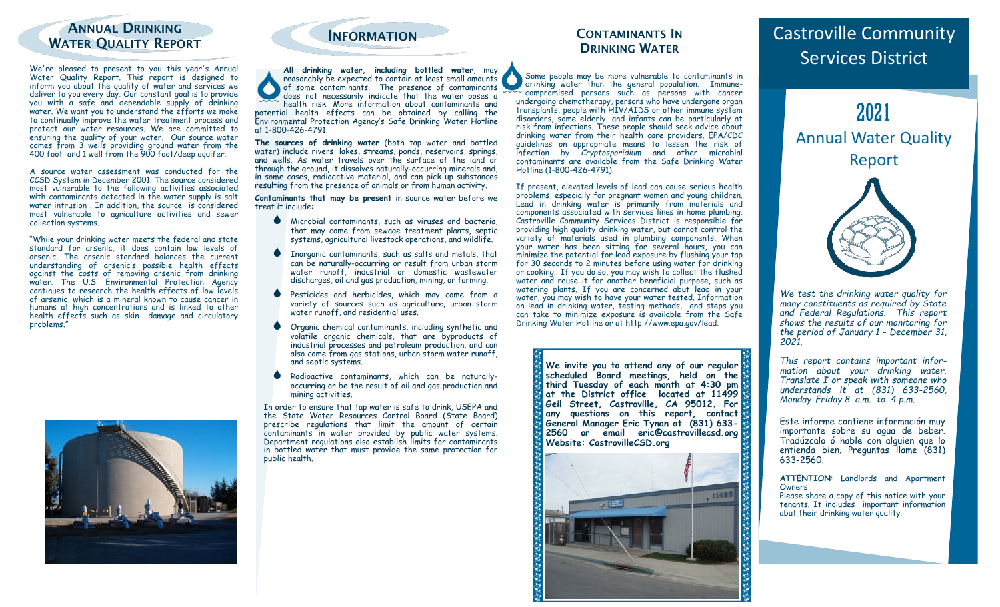### **ANNUAL DRINKING WATER QUALITY REPORT METALLY AND METALLY REPORT**

We're pleased to present to you this year's Annual Water Quality Report. This report is designed to inform you about the quality of water and services we deliver to you every day. Our constant goal is to provide you with a safe and dependable supply of drinking water. We want you to understand the efforts we make to continually improve the water treatment process and protect our water resources. We are committed to ensuring the quality of your water. Our source water comes from 3 wells providing ground water from the 400 foot and 1 well from the 900 foot/deep aquifer.

A source water assessment was conducted for the CCSD System in December 2001. The source considered most vulnerable to the following activities associated with contaminants detected in the water supply is salt water intrusion. In addition, the source is considered most vulnerable to agriculture activities and sewer collection systems.

"While your drinking water meets the federal and state standard for arsenic, it does contain low levels of arsenic. The arsenic standard balances the current understanding of arsenic's possible health effects against the costs of removing arsenic from drinking water. The U.S. Environmental Protection Agency continues to research the health effects of low levels of arsenic, which is a mineral known to cause cancer in humans at high concentrations and is linked to other health effects such as skin damage and circulatory problems."





**All drinking water, including bottled water**, may reasonably be expected to contain at least small amounts of some contaminants. The presence of contaminants does not necessarily indicate that the water poses a health risk. More information about contaminants and potential health effects can be obtained by calling the Environmental Protection Agency's Safe Drinking Water Hotline at 1-800-426-4791.

**The sources of drinking water** (both tap water and bottled water) include rivers, lakes, streams, ponds, reservoirs, springs, and wells. As water travels over the surface of the land or through the ground, it dissolves naturally-occurring minerals and, in some cases, radioactive material, and can pick up substances resulting from the presence of animals or from human activity.

**Contaminants that may be present** in source water before we treat it include:

- Microbial contaminants, such as viruses and bacteria, that may come from sewage treatment plants, septic systems, agricultural livestock operations, and wildlife.
- **Inorganic contaminants, such as salts and metals, that** can be naturally-occurring or result from urban storm water runoff, industrial or domestic wastewater discharges, oil and gas production, mining, or farming.
- Pesticides and herbicides, which may come from a variety of sources such as agriculture, urban storm water runoff, and residential uses.
- Organic chemical contaminants, including synthetic and volatile organic chemicals, that are byproducts of industrial processes and petroleum production, and can also come from gas stations, urban storm water runoff, and septic systems.
- Radioactive contaminants, which can be naturallyoccurring or be the result of oil and gas production and mining activities.

In order to ensure that tap water is safe to drink, USEPA and the State Water Resources Control Board (State Board) prescribe regulations that limit the amount of certain contaminants in water provided by public water systems. Department regulations also establish limits for contaminants in bottled water that must provide the same protection for public health.

#### **CONTAMINANTS IN DRINKING WATER**

Some people may be more vulnerable to contaminants in drinking water than the general population. Immunecompromised persons such as persons with cancer undergoing chemotherapy, persons who have undergone organ transplants, people with HIV/AIDS or other immune system disorders, some elderly, and infants can be particularly at risk from infections. These people should seek advice about drinking water from their health care providers. EPA/CDC guidelines on appropriate means to lessen the risk of infection by *Cryptosporidium* and other microbial contaminants are available from the Safe Drinking Water Hotline (1-800-426-4791).

If present, elevated levels of lead can cause serious health problems, especially for pregnant women and young children. Lead in drinking water is primarily from materials and components associated with services lines in home plumbing. Castroville Community Services District is responsible for providing high quality drinking water, but cannot control the variety of materials used in plumbing components. When your water has been sitting for several hours, you can minimize the potential for lead exposure by flushing your tap for 30 seconds to 2 minutes before using water for drinking or cooking.. If you do so, you may wish to collect the flushed water and reuse it for another beneficial purpose, such as watering plants. If you are concerned abut lead in your water, you may wish to have your water tested. Information on lead in drinking water, testing methods, and steps you can take to minimize exposure is available from the Safe Drinking Water Hotline or at http://www.epa.gov/lead.

> **We invite you to attend any of our regular scheduled Board meetings, held on the third Tuesday of each month at 4:30 pm at the District office located at 11499 Geil Street, Castroville, CA 95012. For any questions on this report, contact General Manager Eric Tynan at (831) 633- 2560 or email eric@castrovillecsd.org Website: CastrovilleCSD.org**



# Castroville Community Services District

2021 Annual Water Quality Report



*We test the drinking water quality for many constituents as required by State and Federal Regulations. This report shows the results of our monitoring for the period of January 1 - December 31, 2021.*

*This report contains important information about your drinking water. Translate I or speak with someone who understands it at (831) 633-2560, Monday-Friday 8 a.m. to 4 p.m.*

Este informe contiene información muy importante sobre su agua de beber. Tradúzcalo ó hable con alguien que lo entienda bien. Preguntas Ilame (831) 633-2560.

**ATTENTION**: Landlords and Apartment Owners

Please share a copy of this notice with your tenants. It includes important information abut their drinking water quality.